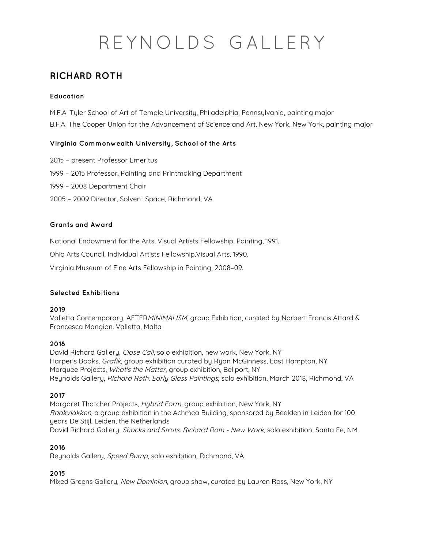## **RICHARD ROTH**

### **Education**

M.F.A. Tyler School of Art of Temple University, Philadelphia, Pennsylvania, painting major B.F.A. The Cooper Union for the Advancement of Science and Art, New York, New York, painting major

#### **Virginia Commonwealth University, School of the Arts**

- 2015 present Professor Emeritus
- 1999 2015 Professor, Painting and Printmaking Department
- 1999 2008 Department Chair
- 2005 2009 Director, Solvent Space, Richmond, VA

#### **Grants and Award**

National Endowment for the Arts, Visual Artists Fellowship, Painting, 1991.

Ohio Arts Council, Individual Artists Fellowship,Visual Arts, 1990.

Virginia Museum of Fine Arts Fellowship in Painting, 2008–09.

#### **Selected Exhibitions**

#### **2019**

Valletta Contemporary, AFTERMINIMALISM, group Exhibition, curated by Norbert Francis Attard & Francesca Mangion. Valletta, Malta

#### **2018**

David Richard Gallery, Close Call, solo exhibition, new work, New York, NY Harper's Books, Grafik, group exhibition curated by Ryan McGinness, East Hampton, NY Marquee Projects, What's the Matter, group exhibition, Bellport, NY Reynolds Gallery, Richard Roth: Early Glass Paintings, solo exhibition, March 2018, Richmond, VA

#### **2017**

Margaret Thatcher Projects, Hybrid Form, group exhibition, New York, NY Raakvlakken, a group exhibition in the Achmea Building, sponsored by Beelden in Leiden for 100 years De Stijl, Leiden, the Netherlands David Richard Gallery, Shocks and Struts: Richard Roth - New Work, solo exhibition, Santa Fe, NM

#### **2016**

Reynolds Gallery, Speed Bump, solo exhibition, Richmond, VA

#### **2015**

Mixed Greens Gallery, New Dominion, group show, curated by Lauren Ross, New York, NY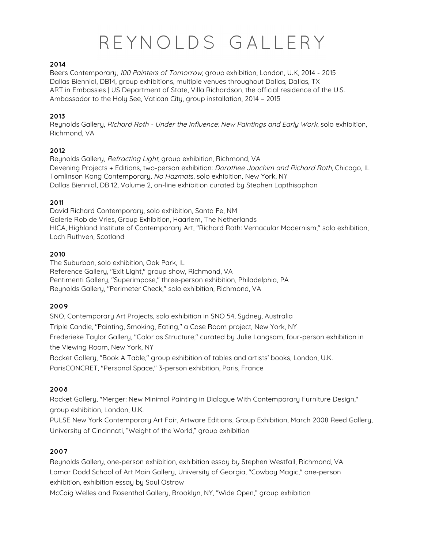#### **2014**

Beers Contemporary, 100 Painters of Tomorrow, group exhibition, London, U.K, 2014 - 2015 Dallas Biennial, DB14, group exhibitions, multiple venues throughout Dallas, Dallas, TX ART in Embassies | US Department of State, Villa Richardson, the official residence of the U.S. Ambassador to the Holy See, Vatican City, group installation, 2014 – 2015

#### **2013**

Reynolds Gallery, Richard Roth - Under the Influence: New Paintings and Early Work, solo exhibition, Richmond, VA

#### **2012**

Reynolds Gallery, Refracting Light, group exhibition, Richmond, VA Devening Projects + Editions, two-person exhibition: Dorothee Joachim and Richard Roth, Chicago, IL Tomlinson Kong Contemporary, No Hazmats, solo exhibition, New York, NY Dallas Biennial, DB 12, Volume 2, on-line exhibition curated by Stephen Lapthisophon

#### **2011**

David Richard Contemporary, solo exhibition, Santa Fe, NM Galerie Rob de Vries, Group Exhibition, Haarlem, The Netherlands HICA, Highland Institute of Contemporary Art, "Richard Roth: Vernacular Modernism," solo exhibition, Loch Ruthven, Scotland

#### **2010**

The Suburban, solo exhibition, Oak Park, IL Reference Gallery, "Exit Light," group show, Richmond, VA Pentimenti Gallery, "Superimpose," three-person exhibition, Philadelphia, PA Reynolds Gallery, "Perimeter Check," solo exhibition, Richmond, VA

#### **2009**

SNO, Contemporary Art Projects, solo exhibition in SNO 54, Sydney, Australia Triple Candie, "Painting, Smoking, Eating," a Case Room project, New York, NY Frederieke Taylor Gallery, "Color as Structure," curated by Julie Langsam, four-person exhibition in the Viewing Room, New York, NY Rocket Gallery, "Book A Table," group exhibition of tables and artists' books, London, U.K.

ParisCONCRET, "Personal Space," 3-person exhibition, Paris, France

## **2008**

Rocket Gallery, "Merger: New Minimal Painting in Dialogue With Contemporary Furniture Design," group exhibition, London, U.K.

PULSE New York Contemporary Art Fair, Artware Editions, Group Exhibition, March 2008 Reed Gallery, University of Cincinnati, "Weight of the World," group exhibition

#### **2007**

Reynolds Gallery, one-person exhibition, exhibition essay by Stephen Westfall, Richmond, VA Lamar Dodd School of Art Main Gallery, University of Georgia, "Cowboy Magic," one-person exhibition, exhibition essay by Saul Ostrow

McCaig Welles and Rosenthal Gallery, Brooklyn, NY, "Wide Open," group exhibition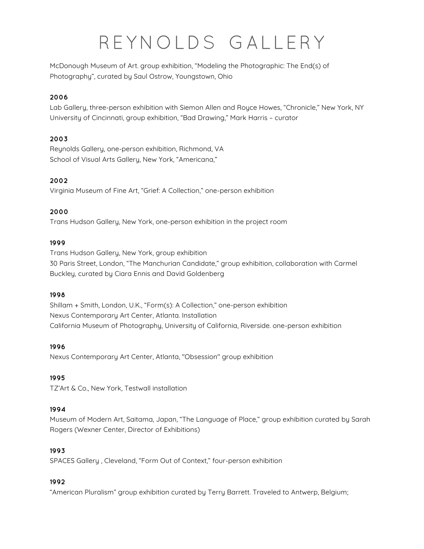McDonough Museum of Art. group exhibition, "Modeling the Photographic: The End(s) of Photography", curated by Saul Ostrow, Youngstown, Ohio

## **2006**

Lab Gallery, three-person exhibition with Siemon Allen and Royce Howes, "Chronicle," New York, NY University of Cincinnati, group exhibition, "Bad Drawing," Mark Harris – curator

## **2003**

Reynolds Gallery, one-person exhibition, Richmond, VA School of Visual Arts Gallery, New York, "Americana,"

## **2002**

Virginia Museum of Fine Art, "Grief: A Collection," one-person exhibition

## **2000**

Trans Hudson Gallery, New York, one-person exhibition in the project room

#### **1999**

Trans Hudson Gallery, New York, group exhibition 30 Paris Street, London, "The Manchurian Candidate," group exhibition, collaboration with Carmel Buckley, curated by Ciara Ennis and David Goldenberg

## **1998**

Shillam + Smith, London, U.K., "Form(s): A Collection," one-person exhibition Nexus Contemporary Art Center, Atlanta. Installation California Museum of Photography, University of California, Riverside. one-person exhibition

## **1996**

Nexus Contemporary Art Center, Atlanta, "Obsession" group exhibition

## **1995**

TZ'Art & Co., New York, Testwall installation

## **1994**

Museum of Modern Art, Saitama, Japan, "The Language of Place," group exhibition curated by Sarah Rogers (Wexner Center, Director of Exhibitions)

## **1993**

SPACES Gallery , Cleveland, "Form Out of Context," four-person exhibition

## **1992**

"American Pluralism" group exhibition curated by Terry Barrett. Traveled to Antwerp, Belgium;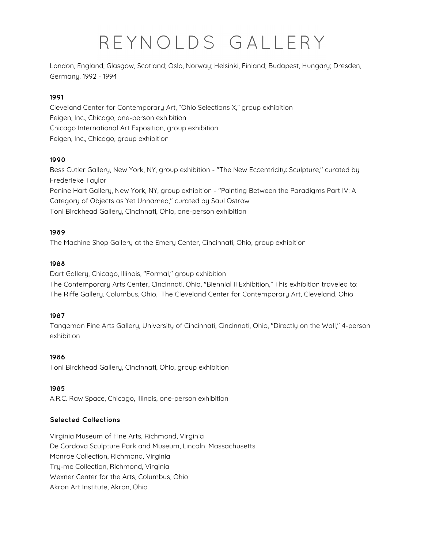London, England; Glasgow, Scotland; Oslo, Norway; Helsinki, Finland; Budapest, Hungary; Dresden, Germany. 1992 - 1994

## **1991**

Cleveland Center for Contemporary Art, "Ohio Selections X," group exhibition Feigen, Inc., Chicago, one-person exhibition Chicago International Art Exposition, group exhibition Feigen, Inc., Chicago, group exhibition

## **1990**

Bess Cutler Gallery, New York, NY, group exhibition - "The New Eccentricity: Sculpture," curated by Frederieke Taylor

Penine Hart Gallery, New York, NY, group exhibition - "Painting Between the Paradigms Part IV: A Category of Objects as Yet Unnamed," curated by Saul Ostrow

Toni Birckhead Gallery, Cincinnati, Ohio, one-person exhibition

## **1989**

The Machine Shop Gallery at the Emery Center, Cincinnati, Ohio, group exhibition

#### **1988**

Dart Gallery, Chicago, Illinois, "Formal," group exhibition

The Contemporary Arts Center, Cincinnati, Ohio, "Biennial II Exhibition," This exhibition traveled to: The Riffe Gallery, Columbus, Ohio, The Cleveland Center for Contemporary Art, Cleveland, Ohio

## **1987**

Tangeman Fine Arts Gallery, University of Cincinnati, Cincinnati, Ohio, "Directly on the Wall," 4-person exhibition

#### **1986**

Toni Birckhead Gallery, Cincinnati, Ohio, group exhibition

## **1985**

A.R.C. Raw Space, Chicago, Illinois, one-person exhibition

## **Selected Collections**

Virginia Museum of Fine Arts, Richmond, Virginia De Cordova Sculpture Park and Museum, Lincoln, Massachusetts Monroe Collection, Richmond, Virginia Try-me Collection, Richmond, Virginia Wexner Center for the Arts, Columbus, Ohio Akron Art Institute, Akron, Ohio